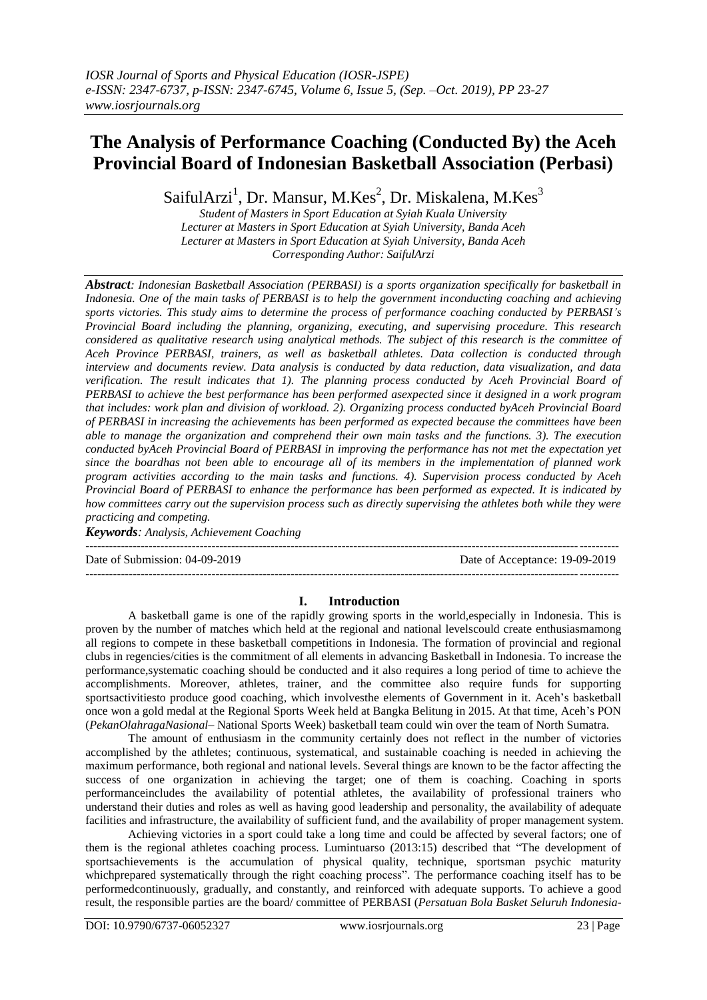# **The Analysis of Performance Coaching (Conducted By) the Aceh Provincial Board of Indonesian Basketball Association (Perbasi)**

SaifulArzi<sup>1</sup>, Dr. Mansur, M.Kes<sup>2</sup>, Dr. Miskalena, M.Kes<sup>3</sup>

*Student of Masters in Sport Education at Syiah Kuala University Lecturer at Masters in Sport Education at Syiah University, Banda Aceh Lecturer at Masters in Sport Education at Syiah University, Banda Aceh Corresponding Author: SaifulArzi*

*Abstract: Indonesian Basketball Association (PERBASI) is a sports organization specifically for basketball in Indonesia. One of the main tasks of PERBASI is to help the government inconducting coaching and achieving sports victories. This study aims to determine the process of performance coaching conducted by PERBASI's Provincial Board including the planning, organizing, executing, and supervising procedure. This research considered as qualitative research using analytical methods. The subject of this research is the committee of Aceh Province PERBASI, trainers, as well as basketball athletes. Data collection is conducted through interview and documents review. Data analysis is conducted by data reduction, data visualization, and data verification. The result indicates that 1). The planning process conducted by Aceh Provincial Board of PERBASI to achieve the best performance has been performed asexpected since it designed in a work program that includes: work plan and division of workload. 2). Organizing process conducted byAceh Provincial Board of PERBASI in increasing the achievements has been performed as expected because the committees have been able to manage the organization and comprehend their own main tasks and the functions. 3). The execution conducted byAceh Provincial Board of PERBASI in improving the performance has not met the expectation yet since the boardhas not been able to encourage all of its members in the implementation of planned work program activities according to the main tasks and functions. 4). Supervision process conducted by Aceh Provincial Board of PERBASI to enhance the performance has been performed as expected. It is indicated by how committees carry out the supervision process such as directly supervising the athletes both while they were practicing and competing.* 

*Keywords: Analysis, Achievement Coaching* ---------------------------------------------------------------------------------------------------------------------------------------

---------------------------------------------------------------------------------------------------------------------------------------

Date of Submission: 04-09-2019 Date of Acceptance: 19-09-2019

## **I. Introduction**

A basketball game is one of the rapidly growing sports in the world,especially in Indonesia. This is proven by the number of matches which held at the regional and national levelscould create enthusiasmamong all regions to compete in these basketball competitions in Indonesia. The formation of provincial and regional clubs in regencies/cities is the commitment of all elements in advancing Basketball in Indonesia. To increase the performance,systematic coaching should be conducted and it also requires a long period of time to achieve the accomplishments. Moreover, athletes, trainer, and the committee also require funds for supporting sportsactivitiesto produce good coaching, which involvesthe elements of Government in it. Aceh's basketball once won a gold medal at the Regional Sports Week held at Bangka Belitung in 2015. At that time, Aceh's PON (*PekanOlahragaNasional*– National Sports Week) basketball team could win over the team of North Sumatra.

The amount of enthusiasm in the community certainly does not reflect in the number of victories accomplished by the athletes; continuous, systematical, and sustainable coaching is needed in achieving the maximum performance, both regional and national levels. Several things are known to be the factor affecting the success of one organization in achieving the target; one of them is coaching. Coaching in sports performanceincludes the availability of potential athletes, the availability of professional trainers who understand their duties and roles as well as having good leadership and personality, the availability of adequate facilities and infrastructure, the availability of sufficient fund, and the availability of proper management system.

Achieving victories in a sport could take a long time and could be affected by several factors; one of them is the regional athletes coaching process. Lumintuarso (2013:15) described that "The development of sportsachievements is the accumulation of physical quality, technique, sportsman psychic maturity whichprepared systematically through the right coaching process". The performance coaching itself has to be performedcontinuously, gradually, and constantly, and reinforced with adequate supports. To achieve a good result, the responsible parties are the board/ committee of PERBASI (*Persatuan Bola Basket Seluruh Indonesia*-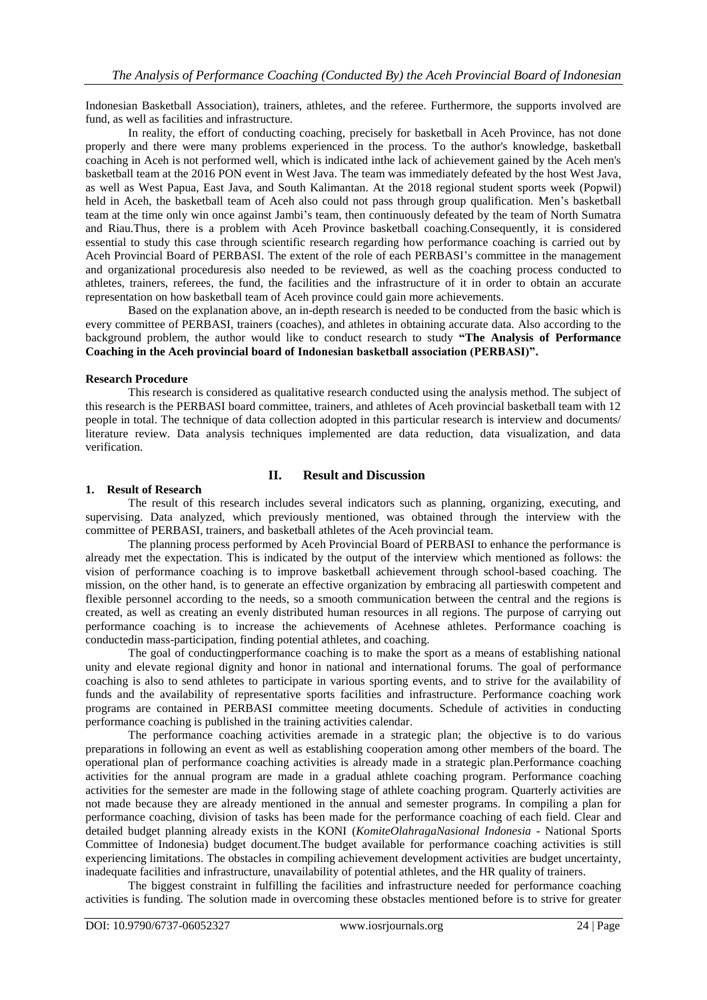Indonesian Basketball Association), trainers, athletes, and the referee. Furthermore, the supports involved are fund, as well as facilities and infrastructure.

In reality, the effort of conducting coaching, precisely for basketball in Aceh Province, has not done properly and there were many problems experienced in the process. To the author's knowledge, basketball coaching in Aceh is not performed well, which is indicated inthe lack of achievement gained by the Aceh men's basketball team at the 2016 PON event in West Java. The team was immediately defeated by the host West Java, as well as West Papua, East Java, and South Kalimantan. At the 2018 regional student sports week (Popwil) held in Aceh, the basketball team of Aceh also could not pass through group qualification. Men's basketball team at the time only win once against Jambi's team, then continuously defeated by the team of North Sumatra and Riau.Thus, there is a problem with Aceh Province basketball coaching.Consequently, it is considered essential to study this case through scientific research regarding how performance coaching is carried out by Aceh Provincial Board of PERBASI. The extent of the role of each PERBASI's committee in the management and organizational proceduresis also needed to be reviewed, as well as the coaching process conducted to athletes, trainers, referees, the fund, the facilities and the infrastructure of it in order to obtain an accurate representation on how basketball team of Aceh province could gain more achievements.

Based on the explanation above, an in-depth research is needed to be conducted from the basic which is every committee of PERBASI, trainers (coaches), and athletes in obtaining accurate data. Also according to the background problem, the author would like to conduct research to study **"The Analysis of Performance Coaching in the Aceh provincial board of Indonesian basketball association (PERBASI)".**

#### **Research Procedure**

This research is considered as qualitative research conducted using the analysis method. The subject of this research is the PERBASI board committee, trainers, and athletes of Aceh provincial basketball team with 12 people in total. The technique of data collection adopted in this particular research is interview and documents/ literature review. Data analysis techniques implemented are data reduction, data visualization, and data verification.

## **II. Result and Discussion**

#### **1. Result of Research**

The result of this research includes several indicators such as planning, organizing, executing, and supervising. Data analyzed, which previously mentioned, was obtained through the interview with the committee of PERBASI, trainers, and basketball athletes of the Aceh provincial team.

The planning process performed by Aceh Provincial Board of PERBASI to enhance the performance is already met the expectation. This is indicated by the output of the interview which mentioned as follows: the vision of performance coaching is to improve basketball achievement through school-based coaching. The mission, on the other hand, is to generate an effective organization by embracing all partieswith competent and flexible personnel according to the needs, so a smooth communication between the central and the regions is created, as well as creating an evenly distributed human resources in all regions. The purpose of carrying out performance coaching is to increase the achievements of Acehnese athletes. Performance coaching is conductedin mass-participation, finding potential athletes, and coaching.

The goal of conductingperformance coaching is to make the sport as a means of establishing national unity and elevate regional dignity and honor in national and international forums. The goal of performance coaching is also to send athletes to participate in various sporting events, and to strive for the availability of funds and the availability of representative sports facilities and infrastructure. Performance coaching work programs are contained in PERBASI committee meeting documents. Schedule of activities in conducting performance coaching is published in the training activities calendar.

The performance coaching activities aremade in a strategic plan; the objective is to do various preparations in following an event as well as establishing cooperation among other members of the board. The operational plan of performance coaching activities is already made in a strategic plan.Performance coaching activities for the annual program are made in a gradual athlete coaching program. Performance coaching activities for the semester are made in the following stage of athlete coaching program. Quarterly activities are not made because they are already mentioned in the annual and semester programs. In compiling a plan for performance coaching, division of tasks has been made for the performance coaching of each field. Clear and detailed budget planning already exists in the KONI (*KomiteOlahragaNasional Indonesia* - National Sports Committee of Indonesia) budget document.The budget available for performance coaching activities is still experiencing limitations. The obstacles in compiling achievement development activities are budget uncertainty, inadequate facilities and infrastructure, unavailability of potential athletes, and the HR quality of trainers.

The biggest constraint in fulfilling the facilities and infrastructure needed for performance coaching activities is funding. The solution made in overcoming these obstacles mentioned before is to strive for greater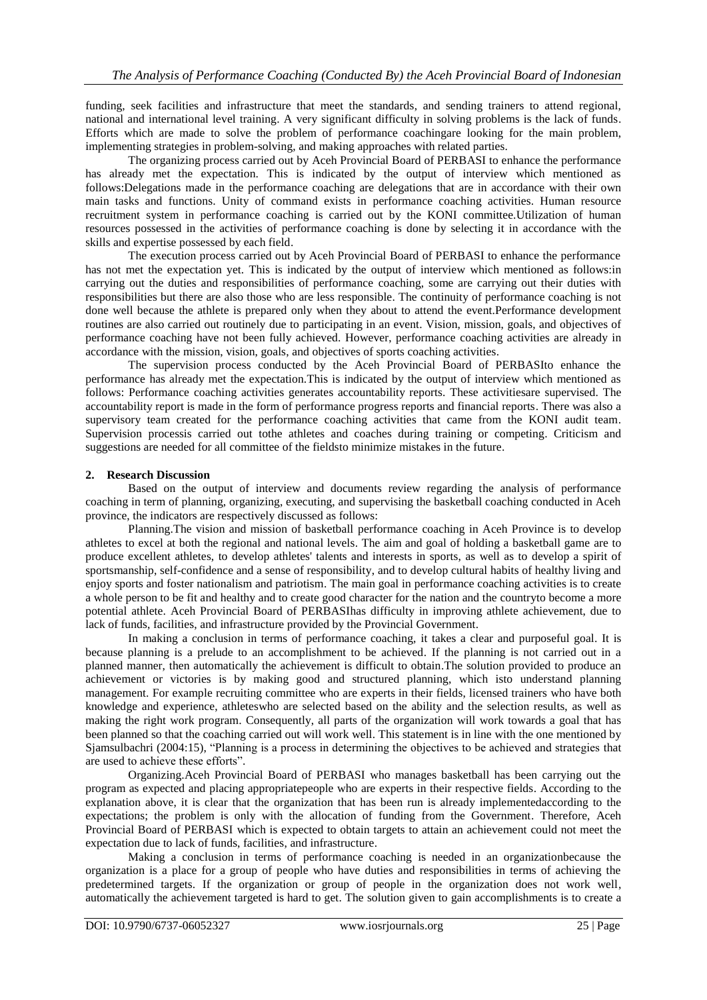funding, seek facilities and infrastructure that meet the standards, and sending trainers to attend regional, national and international level training. A very significant difficulty in solving problems is the lack of funds. Efforts which are made to solve the problem of performance coachingare looking for the main problem, implementing strategies in problem-solving, and making approaches with related parties.

The organizing process carried out by Aceh Provincial Board of PERBASI to enhance the performance has already met the expectation. This is indicated by the output of interview which mentioned as follows:Delegations made in the performance coaching are delegations that are in accordance with their own main tasks and functions. Unity of command exists in performance coaching activities. Human resource recruitment system in performance coaching is carried out by the KONI committee.Utilization of human resources possessed in the activities of performance coaching is done by selecting it in accordance with the skills and expertise possessed by each field.

The execution process carried out by Aceh Provincial Board of PERBASI to enhance the performance has not met the expectation yet. This is indicated by the output of interview which mentioned as follows:in carrying out the duties and responsibilities of performance coaching, some are carrying out their duties with responsibilities but there are also those who are less responsible. The continuity of performance coaching is not done well because the athlete is prepared only when they about to attend the event.Performance development routines are also carried out routinely due to participating in an event. Vision, mission, goals, and objectives of performance coaching have not been fully achieved. However, performance coaching activities are already in accordance with the mission, vision, goals, and objectives of sports coaching activities.

The supervision process conducted by the Aceh Provincial Board of PERBASIto enhance the performance has already met the expectation.This is indicated by the output of interview which mentioned as follows: Performance coaching activities generates accountability reports. These activitiesare supervised. The accountability report is made in the form of performance progress reports and financial reports. There was also a supervisory team created for the performance coaching activities that came from the KONI audit team. Supervision processis carried out tothe athletes and coaches during training or competing. Criticism and suggestions are needed for all committee of the fieldsto minimize mistakes in the future.

## **2. Research Discussion**

Based on the output of interview and documents review regarding the analysis of performance coaching in term of planning, organizing, executing, and supervising the basketball coaching conducted in Aceh province, the indicators are respectively discussed as follows:

Planning.The vision and mission of basketball performance coaching in Aceh Province is to develop athletes to excel at both the regional and national levels. The aim and goal of holding a basketball game are to produce excellent athletes, to develop athletes' talents and interests in sports, as well as to develop a spirit of sportsmanship, self-confidence and a sense of responsibility, and to develop cultural habits of healthy living and enjoy sports and foster nationalism and patriotism. The main goal in performance coaching activities is to create a whole person to be fit and healthy and to create good character for the nation and the countryto become a more potential athlete. Aceh Provincial Board of PERBASIhas difficulty in improving athlete achievement, due to lack of funds, facilities, and infrastructure provided by the Provincial Government.

In making a conclusion in terms of performance coaching, it takes a clear and purposeful goal. It is because planning is a prelude to an accomplishment to be achieved. If the planning is not carried out in a planned manner, then automatically the achievement is difficult to obtain.The solution provided to produce an achievement or victories is by making good and structured planning, which isto understand planning management. For example recruiting committee who are experts in their fields, licensed trainers who have both knowledge and experience, athleteswho are selected based on the ability and the selection results, as well as making the right work program. Consequently, all parts of the organization will work towards a goal that has been planned so that the coaching carried out will work well. This statement is in line with the one mentioned by Sjamsulbachri (2004:15), "Planning is a process in determining the objectives to be achieved and strategies that are used to achieve these efforts".

Organizing.Aceh Provincial Board of PERBASI who manages basketball has been carrying out the program as expected and placing appropriatepeople who are experts in their respective fields. According to the explanation above, it is clear that the organization that has been run is already implementedaccording to the expectations; the problem is only with the allocation of funding from the Government. Therefore, Aceh Provincial Board of PERBASI which is expected to obtain targets to attain an achievement could not meet the expectation due to lack of funds, facilities, and infrastructure.

Making a conclusion in terms of performance coaching is needed in an organizationbecause the organization is a place for a group of people who have duties and responsibilities in terms of achieving the predetermined targets. If the organization or group of people in the organization does not work well, automatically the achievement targeted is hard to get. The solution given to gain accomplishments is to create a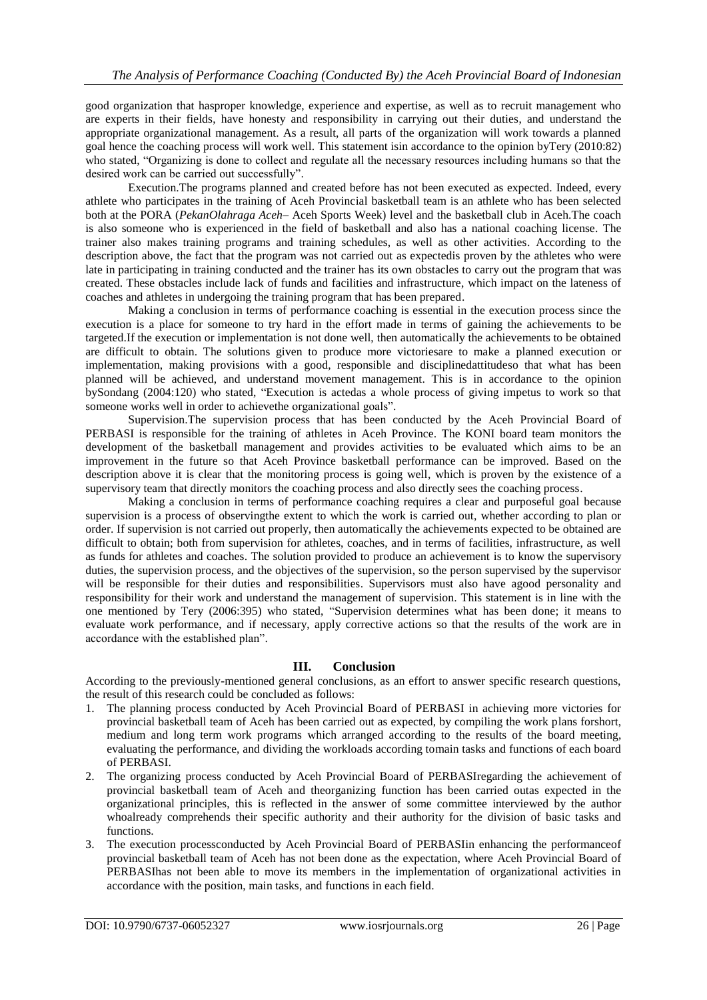good organization that hasproper knowledge, experience and expertise, as well as to recruit management who are experts in their fields, have honesty and responsibility in carrying out their duties, and understand the appropriate organizational management. As a result, all parts of the organization will work towards a planned goal hence the coaching process will work well. This statement isin accordance to the opinion byTery (2010:82) who stated, "Organizing is done to collect and regulate all the necessary resources including humans so that the desired work can be carried out successfully".

Execution.The programs planned and created before has not been executed as expected. Indeed, every athlete who participates in the training of Aceh Provincial basketball team is an athlete who has been selected both at the PORA (*PekanOlahraga Aceh*– Aceh Sports Week) level and the basketball club in Aceh.The coach is also someone who is experienced in the field of basketball and also has a national coaching license. The trainer also makes training programs and training schedules, as well as other activities. According to the description above, the fact that the program was not carried out as expectedis proven by the athletes who were late in participating in training conducted and the trainer has its own obstacles to carry out the program that was created. These obstacles include lack of funds and facilities and infrastructure, which impact on the lateness of coaches and athletes in undergoing the training program that has been prepared.

Making a conclusion in terms of performance coaching is essential in the execution process since the execution is a place for someone to try hard in the effort made in terms of gaining the achievements to be targeted.If the execution or implementation is not done well, then automatically the achievements to be obtained are difficult to obtain. The solutions given to produce more victoriesare to make a planned execution or implementation, making provisions with a good, responsible and disciplinedattitudeso that what has been planned will be achieved, and understand movement management. This is in accordance to the opinion bySondang (2004:120) who stated, "Execution is actedas a whole process of giving impetus to work so that someone works well in order to achievethe organizational goals".

Supervision.The supervision process that has been conducted by the Aceh Provincial Board of PERBASI is responsible for the training of athletes in Aceh Province. The KONI board team monitors the development of the basketball management and provides activities to be evaluated which aims to be an improvement in the future so that Aceh Province basketball performance can be improved. Based on the description above it is clear that the monitoring process is going well, which is proven by the existence of a supervisory team that directly monitors the coaching process and also directly sees the coaching process.

Making a conclusion in terms of performance coaching requires a clear and purposeful goal because supervision is a process of observingthe extent to which the work is carried out, whether according to plan or order. If supervision is not carried out properly, then automatically the achievements expected to be obtained are difficult to obtain; both from supervision for athletes, coaches, and in terms of facilities, infrastructure, as well as funds for athletes and coaches. The solution provided to produce an achievement is to know the supervisory duties, the supervision process, and the objectives of the supervision, so the person supervised by the supervisor will be responsible for their duties and responsibilities. Supervisors must also have agood personality and responsibility for their work and understand the management of supervision. This statement is in line with the one mentioned by Tery (2006:395) who stated, "Supervision determines what has been done; it means to evaluate work performance, and if necessary, apply corrective actions so that the results of the work are in accordance with the established plan".

## **III. Conclusion**

According to the previously-mentioned general conclusions, as an effort to answer specific research questions, the result of this research could be concluded as follows:

- 1. The planning process conducted by Aceh Provincial Board of PERBASI in achieving more victories for provincial basketball team of Aceh has been carried out as expected, by compiling the work plans forshort, medium and long term work programs which arranged according to the results of the board meeting, evaluating the performance, and dividing the workloads according tomain tasks and functions of each board of PERBASI.
- 2. The organizing process conducted by Aceh Provincial Board of PERBASIregarding the achievement of provincial basketball team of Aceh and theorganizing function has been carried outas expected in the organizational principles, this is reflected in the answer of some committee interviewed by the author whoalready comprehends their specific authority and their authority for the division of basic tasks and functions.
- 3. The execution processconducted by Aceh Provincial Board of PERBASIin enhancing the performanceof provincial basketball team of Aceh has not been done as the expectation, where Aceh Provincial Board of PERBASIhas not been able to move its members in the implementation of organizational activities in accordance with the position, main tasks, and functions in each field.